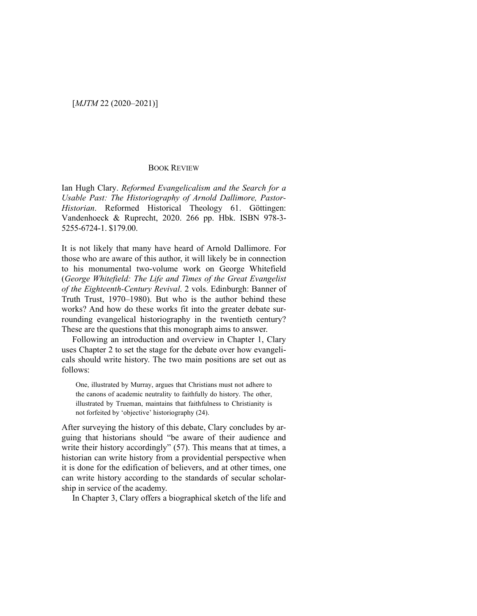## BOOK REVIEW

Ian Hugh Clary. *Reformed Evangelicalism and the Search for a Usable Past: The Historiography of Arnold Dallimore, Pastor-Historian*. Reformed Historical Theology 61. Göttingen: Vandenhoeck & Ruprecht, 2020. 266 pp. Hbk. ISBN 978-3- 5255-6724-1. \$179.00.

It is not likely that many have heard of Arnold Dallimore. For those who are aware of this author, it will likely be in connection to his monumental two-volume work on George Whitefield (*George Whitefield: The Life and Times of the Great Evangelist of the Eighteenth-Century Revival*. 2 vols. Edinburgh: Banner of Truth Trust, 1970–1980). But who is the author behind these works? And how do these works fit into the greater debate surrounding evangelical historiography in the twentieth century? These are the questions that this monograph aims to answer.

Following an introduction and overview in Chapter 1, Clary uses Chapter 2 to set the stage for the debate over how evangelicals should write history. The two main positions are set out as follows:

One, illustrated by Murray, argues that Christians must not adhere to the canons of academic neutrality to faithfully do history. The other, illustrated by Trueman, maintains that faithfulness to Christianity is not forfeited by 'objective' historiography (24).

After surveying the history of this debate, Clary concludes by arguing that historians should "be aware of their audience and write their history accordingly" (57). This means that at times, a historian can write history from a providential perspective when it is done for the edification of believers, and at other times, one can write history according to the standards of secular scholarship in service of the academy.

In Chapter 3, Clary offers a biographical sketch of the life and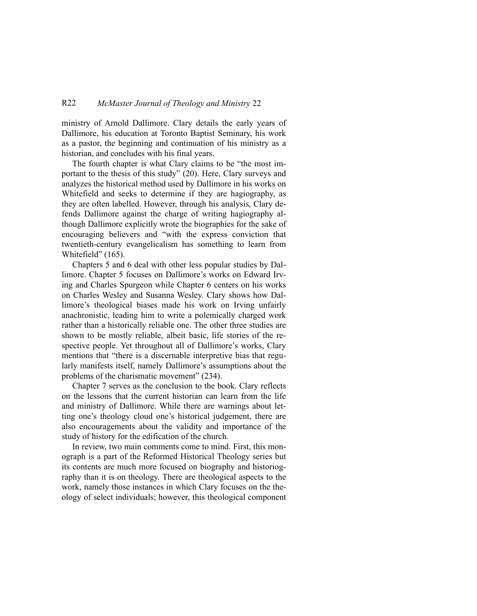## R22 *McMaster Journal of Theology and Ministry* 22

ministry of Arnold Dallimore. Clary details the early years of Dallimore, his education at Toronto Baptist Seminary, his work as a pastor, the beginning and continuation of his ministry as a historian, and concludes with his final years.

The fourth chapter is what Clary claims to be "the most important to the thesis of this study" (20). Here, Clary surveys and analyzes the historical method used by Dallimore in his works on Whitefield and seeks to determine if they are hagiography, as they are often labelled. However, through his analysis, Clary defends Dallimore against the charge of writing hagiography although Dallimore explicitly wrote the biographies for the sake of encouraging believers and "with the express conviction that twentieth-century evangelicalism has something to learn from Whitefield" (165).

Chapters 5 and 6 deal with other less popular studies by Dallimore. Chapter 5 focuses on Dallimore's works on Edward Irving and Charles Spurgeon while Chapter 6 centers on his works on Charles Wesley and Susanna Wesley. Clary shows how Dallimore's theological biases made his work on Irving unfairly anachronistic, leading him to write a polemically charged work rather than a historically reliable one. The other three studies are shown to be mostly reliable, albeit basic, life stories of the respective people. Yet throughout all of Dallimore's works, Clary mentions that "there is a discernable interpretive bias that regularly manifests itself, namely Dallimore's assumptions about the problems of the charismatic movement" (234).

Chapter 7 serves as the conclusion to the book. Clary reflects on the lessons that the current historian can learn from the life and ministry of Dallimore. While there are warnings about letting one's theology cloud one's historical judgement, there are also encouragements about the validity and importance of the study of history for the edification of the church.

In review, two main comments come to mind. First, this monograph is a part of the Reformed Historical Theology series but its contents are much more focused on biography and historiography than it is on theology. There are theological aspects to the work, namely those instances in which Clary focuses on the theology of select individuals; however, this theological component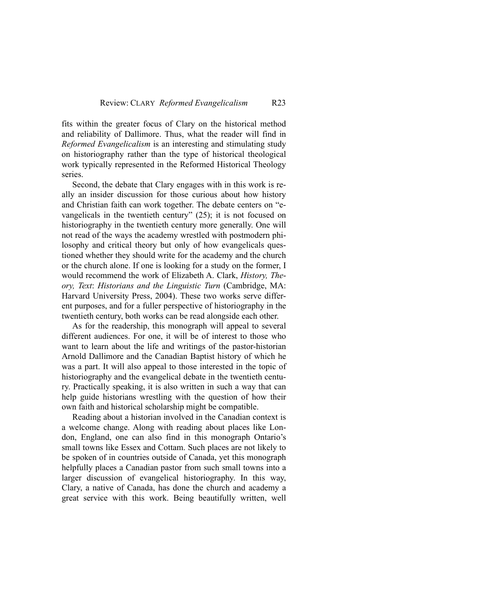fits within the greater focus of Clary on the historical method and reliability of Dallimore. Thus, what the reader will find in *Reformed Evangelicalism* is an interesting and stimulating study on historiography rather than the type of historical theological work typically represented in the Reformed Historical Theology series.

Second, the debate that Clary engages with in this work is really an insider discussion for those curious about how history and Christian faith can work together. The debate centers on "evangelicals in the twentieth century" (25); it is not focused on historiography in the twentieth century more generally. One will not read of the ways the academy wrestled with postmodern philosophy and critical theory but only of how evangelicals questioned whether they should write for the academy and the church or the church alone. If one is looking for a study on the former, I would recommend the work of Elizabeth A. Clark, *History, Theory, Text*: *Historians and the Linguistic Turn* (Cambridge, MA: Harvard University Press, 2004). These two works serve different purposes, and for a fuller perspective of historiography in the twentieth century, both works can be read alongside each other.

As for the readership, this monograph will appeal to several different audiences. For one, it will be of interest to those who want to learn about the life and writings of the pastor-historian Arnold Dallimore and the Canadian Baptist history of which he was a part. It will also appeal to those interested in the topic of historiography and the evangelical debate in the twentieth century. Practically speaking, it is also written in such a way that can help guide historians wrestling with the question of how their own faith and historical scholarship might be compatible.

Reading about a historian involved in the Canadian context is a welcome change. Along with reading about places like London, England, one can also find in this monograph Ontario's small towns like Essex and Cottam. Such places are not likely to be spoken of in countries outside of Canada, yet this monograph helpfully places a Canadian pastor from such small towns into a larger discussion of evangelical historiography. In this way, Clary, a native of Canada, has done the church and academy a great service with this work. Being beautifully written, well